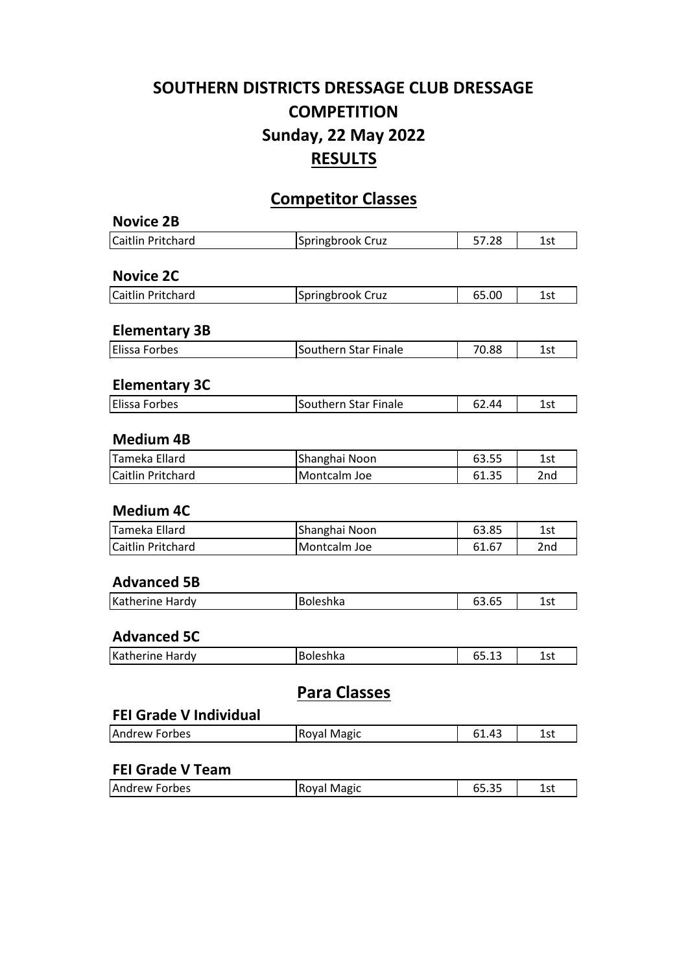## **SOUTHERN DISTRICTS DRESSAGE CLUB DRESSAGE COMPETITION Sunday, 22 May 2022 RESULTS**

## **Competitor Classes**

| <b>Novice 2B</b>              |                      |       |     |
|-------------------------------|----------------------|-------|-----|
| Caitlin Pritchard             | Springbrook Cruz     | 57.28 | 1st |
| <b>Novice 2C</b>              |                      |       |     |
| <b>Caitlin Pritchard</b>      | Springbrook Cruz     | 65.00 | 1st |
|                               |                      |       |     |
| <b>Elementary 3B</b>          |                      |       |     |
| <b>Elissa Forbes</b>          | Southern Star Finale | 70.88 | 1st |
| <b>Elementary 3C</b>          |                      |       |     |
| <b>Elissa Forbes</b>          | Southern Star Finale | 62.44 | 1st |
| <b>Medium 4B</b>              |                      |       |     |
| Tameka Ellard                 | Shanghai Noon        | 63.55 | 1st |
| Caitlin Pritchard             | Montcalm Joe         | 61.35 | 2nd |
| <b>Medium 4C</b>              |                      |       |     |
| Tameka Ellard                 | Shanghai Noon        | 63.85 | 1st |
| Caitlin Pritchard             | Montcalm Joe         | 61.67 | 2nd |
| <b>Advanced 5B</b>            |                      |       |     |
| Katherine Hardy               | Boleshka             | 63.65 | 1st |
| <b>Advanced 5C</b>            |                      |       |     |
| Katherine Hardy               | Boleshka             | 65.13 | 1st |
| <b>FEI Grade V Individual</b> | <b>Para Classes</b>  |       |     |
| <b>Andrew Forbes</b>          | Royal Magic          | 61.43 | 1st |
|                               |                      |       |     |
| <b>FEI Grade V Team</b>       |                      |       |     |
| <b>Andrew Forbes</b>          | Royal Magic          | 65.35 | 1st |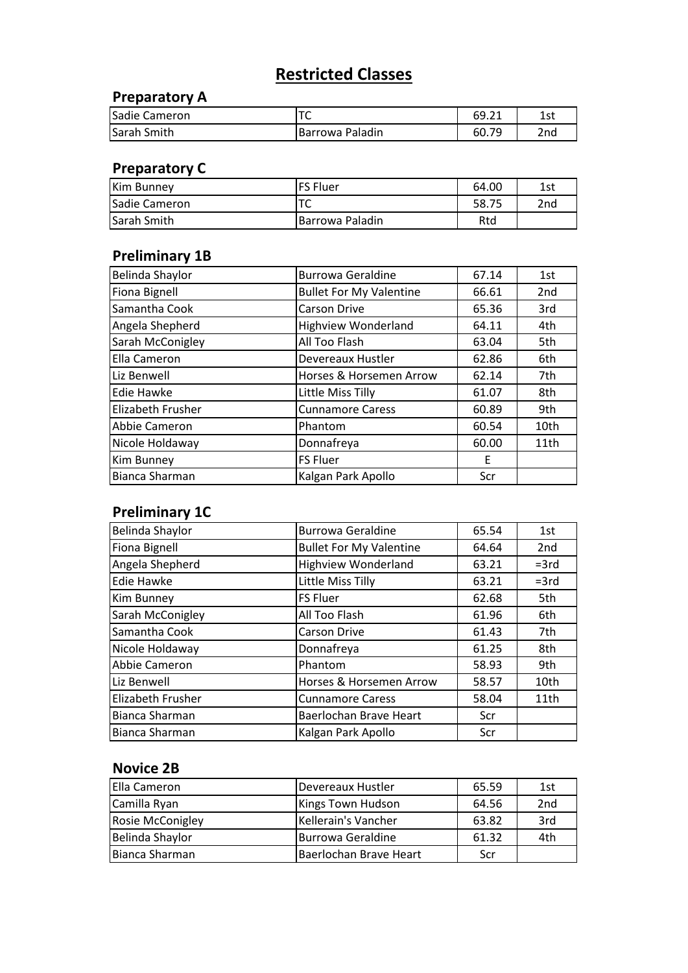# **Restricted Classes**

#### **Preparatory A**

| Sadie Cameron | ' ~             | 69.21      | 1st |
|---------------|-----------------|------------|-----|
| lSarah Smith  | Barrowa Paladin | 70<br>60.7 | 2nd |

#### **Preparatory C**

| <b>Kim Bunney</b>  | lFS Fluer        | 64.00 | 1st |
|--------------------|------------------|-------|-----|
| Sadie Cameron      |                  | 58.75 | 2nd |
| <b>Sarah Smith</b> | IBarrowa Paladin | Rtd   |     |

#### **Preliminary 1B**

| Belinda Shaylor          | <b>Burrowa Geraldine</b>       | 67.14 | 1st             |
|--------------------------|--------------------------------|-------|-----------------|
| <b>Fiona Bignell</b>     | <b>Bullet For My Valentine</b> | 66.61 | 2 <sub>nd</sub> |
| Samantha Cook            | <b>Carson Drive</b>            | 65.36 | 3rd             |
| Angela Shepherd          | <b>Highview Wonderland</b>     | 64.11 | 4th             |
| Sarah McConigley         | All Too Flash                  | 63.04 | 5th             |
| Ella Cameron             | Devereaux Hustler              | 62.86 | 6th             |
| Liz Benwell              | Horses & Horsemen Arrow        | 62.14 | 7th             |
| <b>Edie Hawke</b>        | Little Miss Tilly              | 61.07 | 8th             |
| <b>Elizabeth Frusher</b> | <b>Cunnamore Caress</b>        | 60.89 | 9th             |
| Abbie Cameron            | Phantom                        | 60.54 | 10th            |
| Nicole Holdaway          | Donnafreya                     | 60.00 | 11th            |
| <b>Kim Bunney</b>        | <b>FS Fluer</b>                | E     |                 |
| Bianca Sharman           | Kalgan Park Apollo             | Scr   |                 |

#### **Preliminary 1C**

| <b>Belinda Shaylor</b> | <b>Burrowa Geraldine</b>       | 65.54 | 1st             |
|------------------------|--------------------------------|-------|-----------------|
| <b>Fiona Bignell</b>   | <b>Bullet For My Valentine</b> | 64.64 | 2 <sub>nd</sub> |
| Angela Shepherd        | <b>Highview Wonderland</b>     | 63.21 | $=3rd$          |
| <b>Edie Hawke</b>      | Little Miss Tilly              | 63.21 | $=3rd$          |
| Kim Bunney             | <b>FS Fluer</b>                | 62.68 | 5th             |
| Sarah McConigley       | All Too Flash                  | 61.96 | 6th             |
| Samantha Cook          | <b>Carson Drive</b>            | 61.43 | 7th             |
| Nicole Holdaway        | Donnafreya                     | 61.25 | 8th             |
| Abbie Cameron          | Phantom                        | 58.93 | 9th             |
| Liz Benwell            | Horses & Horsemen Arrow        | 58.57 | 10th            |
| Elizabeth Frusher      | <b>Cunnamore Caress</b>        | 58.04 | 11th            |
| <b>Bianca Sharman</b>  | Baerlochan Brave Heart         | Scr   |                 |
| Bianca Sharman         | Kalgan Park Apollo             | Scr   |                 |

#### **Novice 2B**

| Ella Cameron            | Devereaux Hustler        | 65.59 | 1st             |
|-------------------------|--------------------------|-------|-----------------|
| Camilla Ryan            | Kings Town Hudson        | 64.56 | 2 <sub>nd</sub> |
| <b>Rosie McConigley</b> | Kellerain's Vancher      | 63.82 | 3rd             |
| Belinda Shaylor         | <b>Burrowa Geraldine</b> | 61.32 | 4th             |
| Bianca Sharman          | Baerlochan Brave Heart   | Scr   |                 |